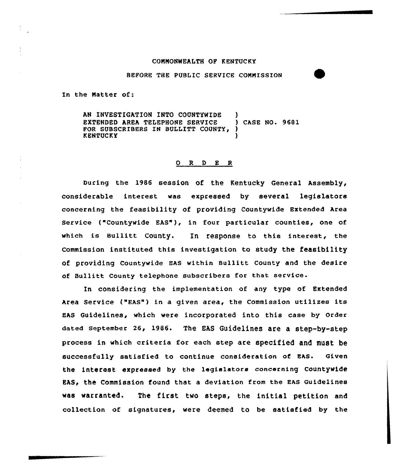#### COMNONWEALTH OF KENTUCKY

BEFORE THE PUBLIC SERVICE COMMISSION

In the Natter of:

AN INVESTIGATION INTO COUNTYWIDE )<br>EXTENDED AREA TELEPHONE SERVICE ) CASE NO. 9681 EXTENDED AREA TELEPHONE SERVICE FOR SUBSCRIBERS IN BULLITT COUNTY, **KENTUCKY** 

### 0 R <sup>D</sup> E <sup>R</sup>

During the 1986 session of the Kentucky General Assembly, considerable interest was expressed by several legislators concerning the feasibility of providing Countywide Extended Area Service ("Countywide EAS"), in four particular counties, one of which is Bullitt County. In response to this interest, the commission instituted this investigation to study the feasibility of providing Countywide EAS within Bullitt County and the desire of Bullitt County telephone subscribers for that service.

In considering the implementation of any type of Extended Area Service ("EAs") in a given area, the Commission utilizes its EAS Guidelines, which were incorporated into this case by Order dated september 26, 1986. The EAS Guidelines are a step-by-step process in which criteria for each step are specified and must be successfully satisfied to continue consideration of EAS. Given the interest expressed by the legislators concerning Countywide EAS, the Commission found that a deviation from the EAS Guidelines was warranted. The first two steps, the initial petition and collection of signatures, were deemed to be satisfied by the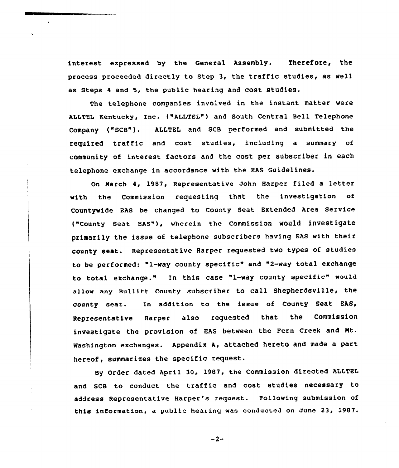interest expressed by the General Assembly. Therefore, the process proceeded directly to Step 3, the traffic studies, as well as steps <sup>4</sup> and 5, the public hearing and cost studies.

The telephone companies involved in the instant matter were ALLTEL Kentucky, Inc. {"ALLTEL") and South Central Bell Telephone Company ("SCB"). ALLTEL and SCB performed and submitted the required traffic and cost studies, including a summary of community of interest factors and the cost per subscriber in each telephone exchange in accordance with the EAs Guidelines.

On March 4, 1987, Representative John Harper filed a letter with the Commission requesting that the investigation of Countywide EAS be changed to County Seat Extended Area Service {"county seat HAs"), wherein the commission would investigate primarily the issue of telephone subscribers having EAS with their county seat. Representative Harper requested two types of studies to be performed: "1-way county specific" and "2-way total exchange to total exchange." In this case "l-way county specific" would allow any Bu11itt County subscriber to call Shepherdsville, the county seat. In addition to the issue of County Seat EAS, Representative Harper also requested that the Commission investigate the provision of EAS between the Fern Creek and Nt. Washington exchanges. Appendix A, attached hereto and made a part hereof, summarizes the specific request.

By Order dated April 30, 1987, the Commission directed ALLTEL and SCB to conduct the traffic and cost studies necessary to address Representative Harper's request. Following submission of this information, a public hearing was conducted on June 23, 1987.

 $-2-$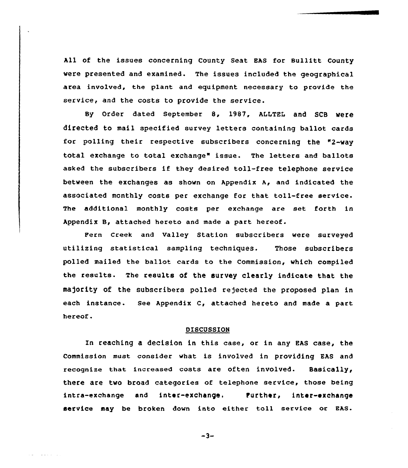All of the issues concerning County Seat EAS for Bullitt County were presented and examined. The issues included the geographical area involved, the plant and equipment necessary to provide the service, and the costs to provide the service.

By Order dated September 8, 1987, ALLTEL and SCB Were directed to mail specified survey letters containing ballot cards for polling their respective subscribers concerning the "2-way total exchange to total exchange" issue. The letters and ballots asked the subscribers if they desired toll-free telephone service between the exchanges as shown on Appendix A, and indicated the associated monthly costs per exchange for that toll-free service. The additional monthly costs per exchange are set forth in Appendix B, attached hereto and made a part hereof.

pern creek and valley station subscribers were surveyed utilizing statistical sampling techniques. Those subscribers polled mailed the ballot cards to the Commission, which compiled the results. The results of the survey clearly indicate that the majority of the subscribers polled rejected the proposed plan in each instance. See Appendix C, attached hereto and made a part hereof.

#### DISCUSSION

In reaching a decision in this case, or in any EAs case, the Commission must consider what is involved in providing EAS and recognize that increased costs are often involved. Basically, there are two broad categories of telephone service, those being intra-exchange and inter-exchange. Purther, inter-exchange service may be broken down into either toll service or EAS.

 $-3-$ 

and a state of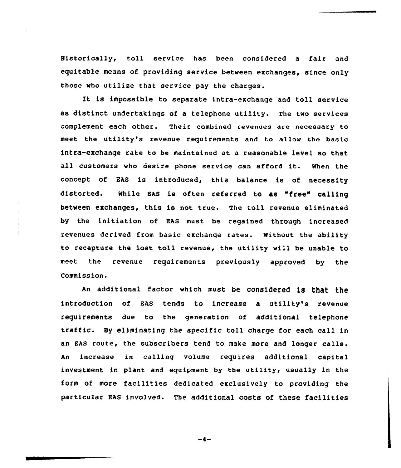Historically, toll service has been considered <sup>a</sup> fair and equitable means of providing service between exchanges, since only those who utilize that service pay the charges.

It is impossible to separate intra-exchange and toll service as distinct undertakings of a telephone utility. The two services complement each other. Their combined revenues are necessary to meet the utility's revenue requirements and to allow the basic intra-exchange rate to be maintained at a reasonable level so that all customers who desire phone service can afford it. When the concept of EAS is introduced, this balance is of necessity distorted. while EAs is often referred to as "free" calling between exchanges, this is not true. The toll revenue eliminated by the initiation of EAS must be regained through increased revenues derived from basic exchange rates. Without the ability to recapture the lost toll revenue, the utility will be unable to meet the revenue requirements previously approved by the Commission.

An additional factor which must be considered is that the introduction of EAS tends to increase a utility's revenue requirements due to the generation of additional telephone traffic. By eliminating the specific toll charge for each call in an EAS route, the subscribers tend to make more and longer calls. An increase in calling volume requires additional capital investment in plant and equipment by the utility, usually in the form of more facilities dedicated exclusively to providing the particular EAS involved. The additional costs of these facilities

 $-4-$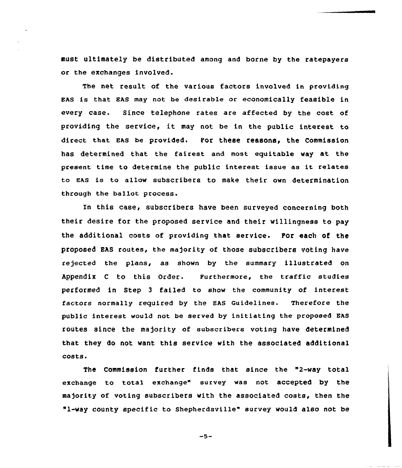must ultimately be distributed among and borne by the ratepayers or the exchanges involved.

The net result of the various factors involved in providing EAs is that Ehs may not be desirable or economically feasible in every case. Since telephone rates are affected by the cost of providing the service, it may not be in the public interest to direct that EAS be provided. For these reasons, the commission has determined that the fairest and most equitable way at the present time to determine the public interest issue as it relates to EAS is to allow subscribers to make their own determination through the ballot process.

In this case, subscribers have been surveyed concerning both their desire for the proposed service and their willingness to pay the additional costs of providing that service. For each of the proposed EAS routes, the majority of those subscribers voting have rejected the plans, as shown by the summary illustrated on Appendix c to this order. Furthermore, the traffic studies performed in Step <sup>3</sup> failed to show the community of interest factors normally required by the EAS Guidelines. Therefore the public interest would not be served by initiating the proposed EAS routes since the majority of subscribers voting have determined that they do not want this service with the associated additional costs <sup>~</sup>

The Commission further finds that since the "2-way total exchange to total exchange" survey was not accepted by the majority of voting subscribers with the associated costs, then the "l-way county specific to Shepherdsville" survey would also not be

 $-5-$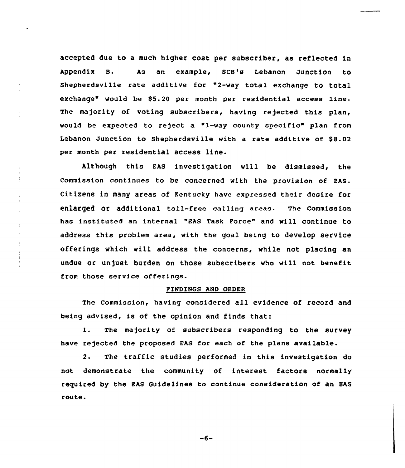accepted due to a much higher cost per subscriber, as reflected in Appendix B. As an example, scB's Lebanon Junction to shephexdsville rate additive for "2-way total exchange to total exchange" would be \$5.20 per month per residential access line. The majority of voting subscribers, having rejected this plan, would be expected to reject a "1-way county specific" plan from Lebanon Junction to Shepherdsville with a rate additive of \$8.02 per month per residential access line.

Although this EAS investigation will be dismissed, the Commission continues to be concerned with the provision of EAS. Citizens in many areas of Kentucky have expressed their desire for enlarged or additional toll-free calling areas. The commission has instituted an internal "EAS Task Force" and will continue to address this problem area, with the goal being to develop service offerings which will address the concerns, while not placing an undue or unjust burden on those subscribers who vill not benefit from those service offerings.

 $\bar{z}$  $\bar{1}$  $\frac{1}{2}$ 

 $\frac{1}{2}$ 

 $\pm$ 

#### FINDINGS AND ORDER

The Commission, having considered all evidence of record and being advised, is of the opinion and finds that:

1. The majority of subscribers responding to the survey have rejected the proposed EAS for each of the plans available.

 $2.$ The traffic studies performed in this investigation do not demonstrate the community of interest factors normally required by the EAS Guidelines to continue consideration of an EAS route.

 $-6-$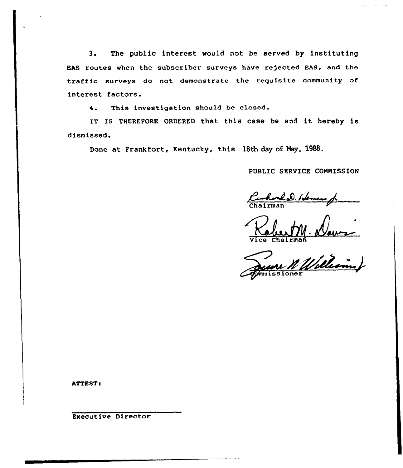3. The public interest would not be served by instituting EAS routes when the subscriber surveys have re)ected EAS, and the traffic surveys do not demonstrate the requisite community of interest factors.

4. This investigation should be closed.

IT IS THEREFORE ORDERED that this case be and it hereby is dismissed.

Done at Frankfort, Kentucky, this 18th day of Nay, 1988.

PUBLIC SERVICE CONMISSION

Charled Henne of

man man

ATTEST:

Executive Director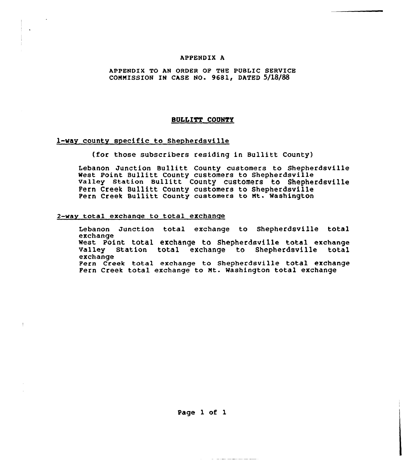#### APPENDIX A

## APPENDIX TO AN ORDER OF THE PUBLIC SERVICE COMMISSION IN CASE NO. 9681, DATED 5/18/88

#### BULLITT COUNTY

### 1-Way county specific to Shepherdsville

(for those subscribers residing in Bullitt County)

Lebanon Junction Bullitt County customers to Shepherdsvil West Point Bullitt County customers to Shepherdsville Valley Station Bullitt County customers to Shepherdsville Fern Creek Bullitt County customers to Shepherdsville Fern Creek Bullitt County customers to Mt. Washington

### 2-way total exchange to total exchange

Lebanon Junction total exchange to Shepherdsville total exchange West Point total exchange to Shepherdsville total exchange valley Station total exchange to Shepherdsville total exchange Fern creek total exchange to shepherdsville total exchange Fern Creek total exchange to Mt. Washington total exchange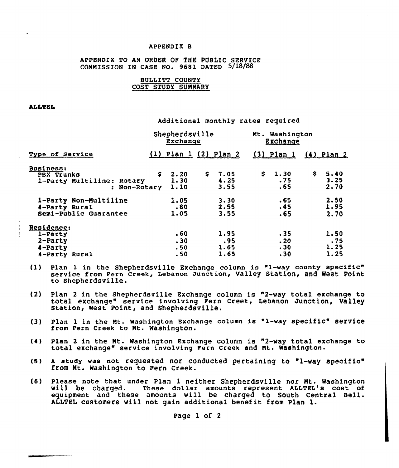#### APPENDIK B

# APPENDIX TO AN ORDER OF THE PUBLIC SERVICE CONNISSION IN CASE NO. 9681 DATED 5/18/88

# BULLITT COUNTY COST STUDY SUNNARY

#### **ALLTEL**

Additional monthly rates required

|                                                                      | Shepherdsville<br>Exchange           |                             | Mt. Washington<br>Exchange |                             |
|----------------------------------------------------------------------|--------------------------------------|-----------------------------|----------------------------|-----------------------------|
| Type of Service                                                      |                                      | $(1)$ Plan 1 $(2)$ Plan 2   | $(3)$ Plan 1               | $(4)$ Plan 2                |
| Business:<br>PBX Trunks<br>1-Party Multiline: Rotary<br>: Non-Rotary | $\mathsf{S}$<br>2.20<br>1.30<br>1.10 | \$.<br>7.05<br>4.25<br>3.55 | S.<br>1.30<br>.75<br>.65   | \$.<br>5.40<br>3.25<br>2.70 |
| 1-Party Non-Multiline<br>4-Party Rural<br>Semi-Public Guarantee      | 1.05<br>.80<br>1.05                  | 3.30<br>2.55<br>3.55        | .65<br>.45<br>.65          | 2.50<br>1.95<br>2.70        |
| Residence:<br>$1$ -Party<br>$2$ -Party<br>4-Party<br>4-Party Rural   | .60<br>.30<br>.50<br>.50             | 1.95<br>.95<br>1.65<br>1.65 | .35<br>.20<br>.30<br>.30   | 1.50<br>.75<br>1.25<br>1.25 |

- {1) Plan 1 in the Shepherdsville EXchange column is "1-way county specific" service from Fern creek, Lebanon Junction, valley Station, and West point to shepherdsville.
- {2) Plan <sup>2</sup> in the Shepherdsville Exchange column is "2-way total exchange to total exchange" service involving Fern Creek, Lebanon Junction, Valley<br>Station, West Point, and Shepherdsville.
- {3} plan <sup>1</sup> in the Mt. Washington Exchange column is "1-way specific" service from Pern Creek to Mt. Washington.
- {4) Plan <sup>2</sup> in the Nt. Washington Exchange column is "2-way total exchange to total exchange" service involving Fern creek and Nt. washington.
- (5) A study was not requested nor conducted pertaining to "1-way specific" from Nt. Washington to Fern Creek.
- {6) please note that under plan 1 neither Shepherdsville nor Mt. washington will be charged. These dollar amounts represent ALLTEL's cost of equipment and these amounts will be charged to South Central Bell. ALLTEL customers will not gain additional benefit from Plan l.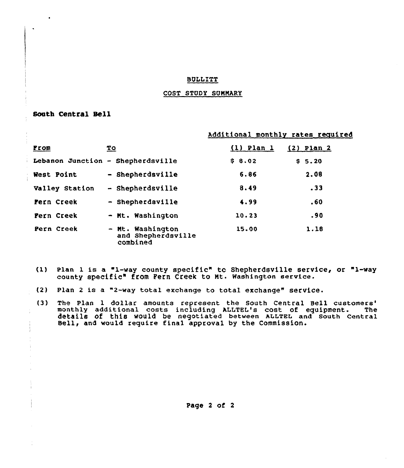## **BULLITT**

# COST STUDY SUMMARY

# South Central Sell

# Additional monthly rates required

| <b>From</b>    | <u>To</u>                                          | $(1)$ Plan 1 | $(2)$ Plan 2      |
|----------------|----------------------------------------------------|--------------|-------------------|
|                | Lebanon Junction - Shepherdsville                  | \$8.02       | S <sub>5.20</sub> |
| West Point     | - Shepherdsville                                   | 6,86         | 2.08              |
| Valley Station | - Shepherdsville                                   | 8.49         | .33               |
| Fern Creek     | - Shepherdsville                                   | 4.99         | .60               |
| Fern Creek     | - Mt. Washington                                   | 10.23        | .90               |
| Pern Creek     | - Mt. Washington<br>and Shepherdsville<br>combined | 15.00        | 1.18              |

- (1) Plan <sup>1</sup> is a "1-way county specific" tc Shepherdsville service, or "1-way county specific" from Fern Creek to Nt. Washington service.
- (2) plan <sup>2</sup> is a "2-way total exchange to total exchange" service.
- (3) The Plan 1 dollar amounts represent the South Central Bell customers'onthly additional costs including ALLTEL's cost of equipment. The details of this would be negotiated between ALLTEL and south central Bell, and would require final approval by the Commission.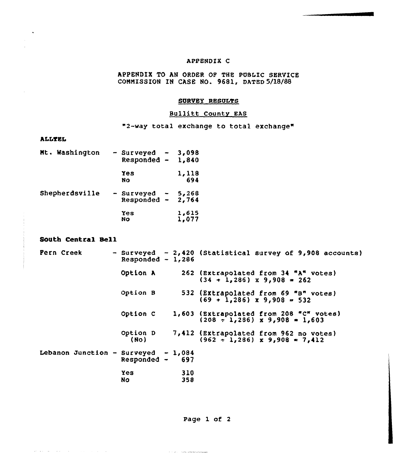# APPENDIK C

APPENDIX TO AN ORDER OF THE PUBLIC SERVICE COMMISSION IN CASE NO. 9681, DATED 5/18/88

# SURVEY RESULTS

# Bullitt County EAS

"2-way total exchange to total exchange"

# ALL%EL

| Mt. Washington | - Surveyed<br>Responded -   | 3,098<br>1,840 |
|----------------|-----------------------------|----------------|
|                | Yes<br>No                   | 1,118<br>694   |
| Shepherdsville | - Surveyed<br>$Responded -$ | 5,268<br>2,764 |
|                | Yes<br>No                   | 1,615<br>1,077 |

# South Central Se11

, we can consider the second constraints of the  $\mathcal{L}_\mathcal{A}$ 

| Fern Creek                          | Responded - $1,286$ |            | - Surveyed - 2,420 (Statistical survey of 9,908 accounts)                   |
|-------------------------------------|---------------------|------------|-----------------------------------------------------------------------------|
|                                     | Option A            |            | 262 (Extrapolated from 34 "A" votes)<br>$(34 + 1,286)$ x 9,908 = 262        |
|                                     | Option B            |            | 532 (Extrapolated from 69 "B" votes)<br>$(69 + 1,286)$ x 9,908 = 532        |
|                                     | Option C            |            | 1,603 (Extrapolated from 208 "C" votes)<br>$(208 - 1, 286)$ x 9,908 = 1,603 |
|                                     | Option D<br>(NO)    |            | 7,412 (Extrapolated from 962 no votes)<br>$(962 + 1,286)$ x 9,908 = 7,412   |
| Lebanon Junction - Surveyed - 1,084 | $Responded$ - 697   |            |                                                                             |
|                                     | <b>Yes</b><br>No    | 310<br>358 |                                                                             |

Page 1 of <sup>2</sup>

فيتحصص ومراديه والمحارب